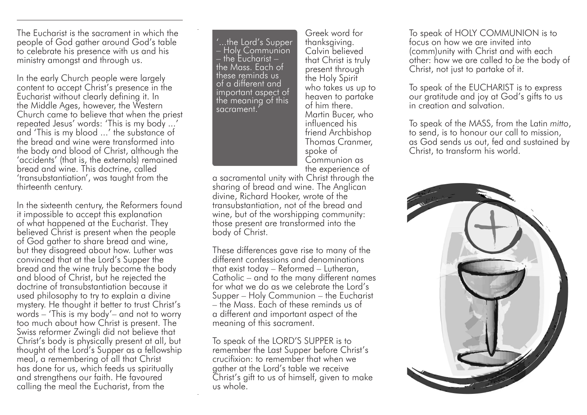The Eucharist is the sacrament in which the people of God gather around God's table to celebrate his presence with us and his ministry amongst and through us.

In the early Church people were largely content to accept Christ's presence in the Eucharist without clearly defining it. In the Middle Ages, however, the Western Church came to believe that when the priest repeated Jesus' words: 'This is my body ...' and 'This is my blood ...' the substance of the bread and wine were transformed into the body and blood of Christ, although the 'accidents' (that is, the externals) remained bread and wine. This doctrine, called 'transubstantiation', was taught from the thirteenth century.

In the sixteenth century, the Reformers found it impossible to accept this explanation of what happened at the Eucharist. They believed Christ is present when the people of God gather to share bread and wine, but they disagreed about how. Luther was convinced that at the Lord's Supper the bread and the wine truly become the body and blood of Christ, but he rejected the doctrine of transubstantiation because it used philosophy to try to explain a divine mystery. He thought it better to trust Christ's words – 'This is my body'– and not to worry too much about how Christ is present. The Swiss reformer Zwingli did not believe that Christ's body is physically present at all, but thought of the Lord's Supper as a fellowship meal, a remembering of all that Christ has done for us, which feeds us spiritually and strengthens our faith. He favoured calling the meal the Eucharist, from the

'...the Lord's Supper  $\overline{\phantom{a}}$  Holy Communion  $\overline{\phantom{a}}$  the Eucharist  $$ the Mass. Each of these reminds us of a different and important aspect of the meaning of this sacrament.'

Greek word for thanksgiving. Calvin believed that Christ is truly present through the Holy Spirit who takes us up to heaven to partake of him there. Martin Bucer, who influenced his friend Archbishop Thomas Cranmer, spoke of Communion as the experience of

a sacramental unity with Christ through the sharing of bread and wine. The Anglican divine, Richard Hooker, wrote of the transubstantiation, not of the bread and wine, but of the worshipping community: those present are transformed into the body of Christ.

These differences gave rise to many of the different confessions and denominations that exist today – Reformed – Lutheran, Catholic – and to the many different names for what we do as we celebrate the Lord's Supper – Holy Communion – the Eucharist – the Mass. Each of these reminds us of a different and important aspect of the meaning of this sacrament.

To speak of the LORD'S SUPPER is to remember the Last Supper before Christ's crucifixion: to remember that when we gather at the Lord's table we receive Christ's gift to us of himself, given to make us whole.

To speak of HOLY COMMUNION is to focus on how we are invited into (comm)unity with Christ and with each other: how we are called to *be* the body of Christ, not just to partake of it.

To speak of the EUCHARIST is to express our gratitude and joy at God's gifts to us in creation and salvation.

To speak of the MASS, from the Latin *mitto*, to send, is to honour our call to mission, as God sends us out, fed and sustained by Christ, to transform his world.